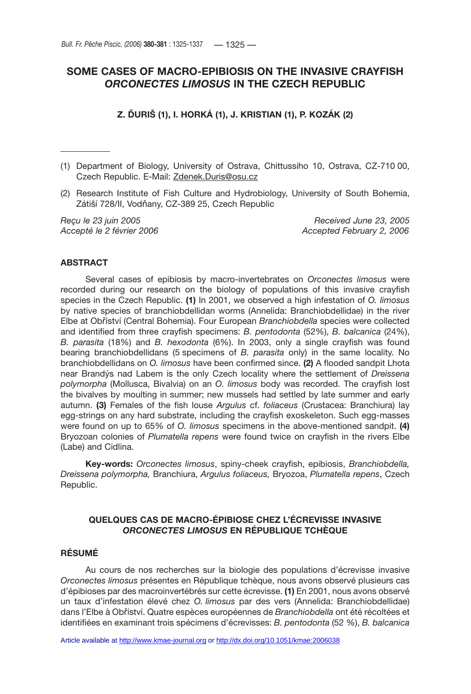# **SOME CASES OF MACRO-EPIBIOSIS ON THE INVASIVE CRAYFISH**  *ORCONECTES LIMOSUS* **IN THE CZECH REPUBLIC**

**Z. ĎURIŠ (1), I. HORKÁ (1), J. KRISTIAN (1), P. KOZÁK (2)**

- (1) Department of Biology, University of Ostrava, Chittussiho 10, Ostrava, CZ-710 00, Czech Republic. E-Mail: Zdenek.Duris@osu.cz
- (2) Research Institute of Fish Culture and Hydrobiology, University of South Bohemia, Zátiší 728/II, Vodňany, CZ-389 25, Czech Republic

*Reçu le 23 juin 2005 Received June 23, 2005 Accepté le 2 février 2006 Accepted February 2, 2006*

# **ABSTRACT**

Several cases of epibiosis by macro-invertebrates on *Orconectes limosus* were recorded during our research on the biology of populations of this invasive crayfish species in the Czech Republic. **(1)** In 2001, we observed a high infestation of *O. limosus* by native species of branchiobdellidan worms (Annelida: Branchiobdellidae) in the river Elbe at Obříství (Central Bohemia). Four European *Branchiobdella* species were collected and identified from three crayfish specimens: *B. pentodonta* (52%), *B. balcanica* (24%), *B. parasita* (18%) and *B. hexodonta* (6%). In 2003, only a single crayfish was found bearing branchiobdellidans (5 specimens of *B. parasita* only) in the same locality. No branchiobdellidans on *O. limosus* have been confirmed since. **(2)** A flooded sandpit Lhota near Brandýs nad Labem is the only Czech locality where the settlement of *Dreissena polymorpha* (Mollusca, Bivalvia) on an *O. limosus* body was recorded. The crayfish lost the bivalves by moulting in summer; new mussels had settled by late summer and early autumn. **(3)** Females of the fish louse *Argulus* cf. *foliaceus* (Crustacea: Branchiura) lay egg-strings on any hard substrate, including the crayfish exoskeleton. Such egg-masses were found on up to 65% of *O. limosus* specimens in the above-mentioned sandpit. **(4)** Bryozoan colonies of *Plumatella repens* were found twice on crayfish in the rivers Elbe (Labe) and Cidlina.

**Key-words:** *Orconectes limosus*, spiny-cheek crayfish, epibiosis, *Branchiobdella, Dreissena polymorpha,* Branchiura, *Argulus foliaceus,* Bryozoa, *Plumatella repens*, Czech Republic.

# **QUELQUES CAS DE MACRO-ÉPIBIOSE CHEZ L'ÉCREVISSE INVASIVE**  *ORCONECTES LIMOSUS* **EN RÉPUBLIQUE TCHÈQUE**

# **RÉSUMÉ**

Au cours de nos recherches sur la biologie des populations d'écrevisse invasive *Orconectes limosus* présentes en République tchèque, nous avons observé plusieurs cas d'épibioses par des macroinvertébrés sur cette écrevisse. **(1)** En 2001, nous avons observé un taux d'infestation élevé chez *O. limosus* par des vers (Annelida: Branchiobdellidae) dans l'Elbe à Obříství. Quatre espèces européennes de *Branchiobdella* ont été récoltées et identifiées en examinant trois spécimens d'écrevisses: *B. pentodonta* (52 %), *B. balcanica*

Article available at <http://www.kmae-journal.org> or <http://dx.doi.org/10.1051/kmae:2006038>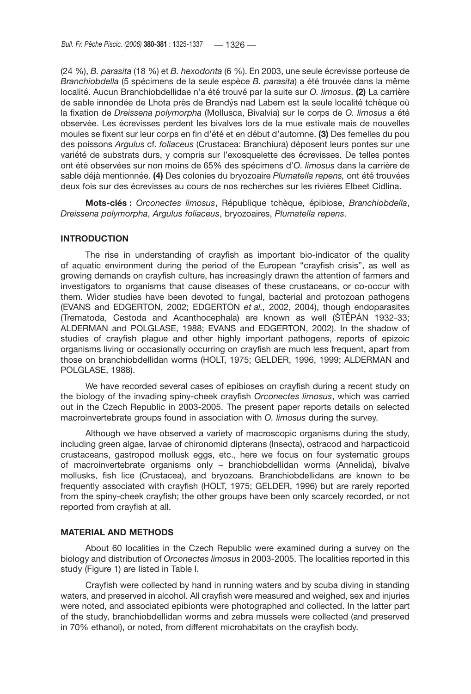(24 %), *B. parasita* (18 %) et *B. hexodonta* (6 %). En 2003, une seule écrevisse porteuse de *Branchiobdella* (5 spécimens de la seule espèce *B. parasita*) a été trouvée dans la même localité. Aucun Branchiobdellidae n'a été trouvé par la suite sur *O. limosus*. **(2)** La carrière de sable innondée de Lhota près de Brandýs nad Labem est la seule localité tchèque où la fixation de *Dreissena polymorpha* (Mollusca, Bivalvia) sur le corps de *O. limosus* a été observée. Les écrevisses perdent les bivalves lors de la mue estivale mais de nouvelles moules se fixent sur leur corps en fin d'été et en début d'automne. **(3)** Des femelles du pou des poissons *Argulus* cf. *foliaceus* (Crustacea: Branchiura) déposent leurs pontes sur une variété de substrats durs, y compris sur l'exosquelette des écrevisses. De telles pontes ont été observées sur non moins de 65% des spécimens d'*O. limosus* dans la carrière de sable déjà mentionnée. **(4)** Des colonies du bryozoaire *Plumatella repens,* ont été trouvées deux fois sur des écrevisses au cours de nos recherches sur les rivières Elbeet Cidlina.

**Mots-clés :** *Orconectes limosus*, République tchèque, épibiose, *Branchiobdella*, *Dreissena polymorpha*, *Argulus foliaceus*, bryozoaires, *Plumatella repens*.

#### **INTRODUCTION**

The rise in understanding of crayfish as important bio-indicator of the quality of aquatic environment during the period of the European "crayfish crisis", as well as growing demands on crayfish culture, has increasingly drawn the attention of farmers and investigators to organisms that cause diseases of these crustaceans, or co-occur with them. Wider studies have been devoted to fungal, bacterial and protozoan pathogens (EVANS and EDGERTON, 2002; EDGERTON *et al.,* 2002, 2004), though endoparasites (Trematoda, Cestoda and Acanthocephala) are known as well (ŠTĚPÁN 1932-33; ALDERMAN and POLGLASE, 1988; EVANS and EDGERTON, 2002). In the shadow of studies of crayfish plague and other highly important pathogens, reports of epizoic organisms living or occasionally occurring on crayfish are much less frequent, apart from those on branchiobdellidan worms (HOLT, 1975; GELDER, 1996, 1999; ALDERMAN and POLGLASE, 1988).

We have recorded several cases of epibioses on crayfish during a recent study on the biology of the invading spiny-cheek crayfish *Orconectes limosus*, which was carried out in the Czech Republic in 2003-2005. The present paper reports details on selected macroinvertebrate groups found in association with *O. limosus* during the survey.

Although we have observed a variety of macroscopic organisms during the study, including green algae, larvae of chironomid dipterans (Insecta), ostracod and harpacticoid crustaceans, gastropod mollusk eggs, etc., here we focus on four systematic groups of macroinvertebrate organisms only – branchiobdellidan worms (Annelida), bivalve mollusks, fish lice (Crustacea), and bryozoans. Branchiobdellidans are known to be frequently associated with crayfish (HOLT, 1975; GELDER, 1996) but are rarely reported from the spiny-cheek crayfish; the other groups have been only scarcely recorded, or not reported from crayfish at all.

# **MATERIAL AND METHODS**

About 60 localities in the Czech Republic were examined during a survey on the biology and distribution of *Orconectes limosus* in 2003-2005. The localities reported in this study (Figure 1) are listed in Table I.

Crayfish were collected by hand in running waters and by scuba diving in standing waters, and preserved in alcohol. All crayfish were measured and weighed, sex and injuries were noted, and associated epibionts were photographed and collected. In the latter part of the study, branchiobdellidan worms and zebra mussels were collected (and preserved in 70% ethanol), or noted, from different microhabitats on the crayfish body.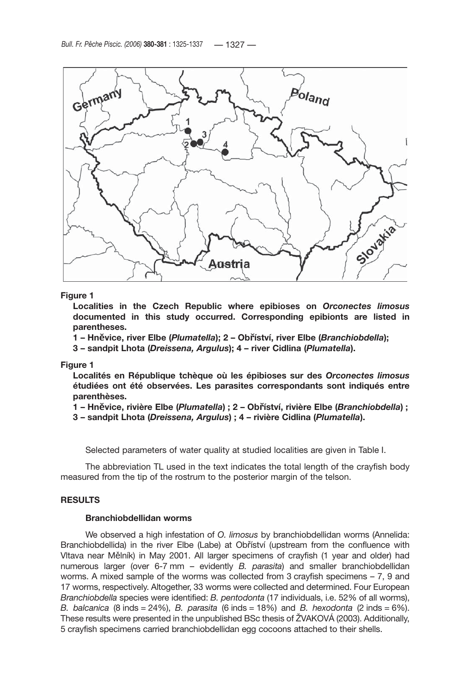

# **Figure 1**

**Localities in the Czech Republic where epibioses on** *Orconectes limosus* **documented in this study occurred. Corresponding epibionts are listed in parentheses.**

**1 – Hn**ě**vice, river Elbe (***Plumatella***); 2 – Ob**ř**íství, river Elbe (***Branchiobdella***);** 

**3 – sandpit Lhota (***Dreissena, Argulus***); 4 – river Cidlina (***Plumatella***).**

#### **Figure 1**

**Localités en République tchèque où les épibioses sur des** *Orconectes limosus* **étudiées ont été observées. Les parasites correspondants sont indiqués entre parenthèses.**

**1 – Hn**ě**vice, rivière Elbe (***Plumatella***) ; 2 – Ob**ř**íství, rivière Elbe (***Branchiobdella***) ;** 

**3 – sandpit Lhota (***Dreissena, Argulus***) ; 4 – rivière Cidlina (***Plumatella***).**

Selected parameters of water quality at studied localities are given in Table I.

The abbreviation TL used in the text indicates the total length of the crayfish body measured from the tip of the rostrum to the posterior margin of the telson.

# **RESULTS**

# **Branchiobdellidan worms**

We observed a high infestation of *O. limosus* by branchiobdellidan worms (Annelida: Branchiobdellida) in the river Elbe (Labe) at Obříství (upstream from the confluence with Vltava near Mělník) in May 2001. All larger specimens of crayfish (1 year and older) had numerous larger (over 6-7 mm – evidently *B. parasita*) and smaller branchiobdellidan worms. A mixed sample of the worms was collected from 3 crayfish specimens – 7, 9 and 17 worms, respectively. Altogether, 33 worms were collected and determined. Four European *Branchiobdella* species were identified: *B. pentodonta* (17 individuals, i.e. 52% of all worms), *B. balcanica* (8 inds = 24%), *B. parasita* (6 inds = 18%) and *B. hexodonta* (2 inds = 6%). These results were presented in the unpublished BSc thesis of ŽVAKOVÁ (2003). Additionally, 5 crayfish specimens carried branchiobdellidan egg cocoons attached to their shells.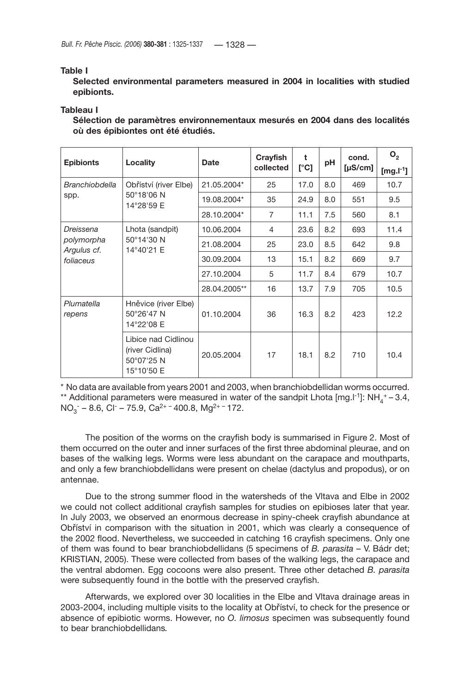# **Table I**

**Selected environmental parameters measured in 2004 in localities with studied epibionts.**

# **Tableau I**

**Sélection de paramètres environnementaux mesurés en 2004 dans des localités où des épibiontes ont été étudiés.**

| <b>Epibionts</b>                                    | Locality                                                           | <b>Date</b>  | Crayfish<br>collected | t<br>[°C] | pH  | cond.<br>$[\mu S/cm]$ | O <sub>2</sub>        |
|-----------------------------------------------------|--------------------------------------------------------------------|--------------|-----------------------|-----------|-----|-----------------------|-----------------------|
|                                                     |                                                                    |              |                       |           |     |                       | [mg.l <sup>-1</sup> ] |
| <b>Branchiobdella</b><br>spp.                       | Obříství (river Elbe)<br>50°18'06 N<br>14°28'59 E                  | 21.05.2004*  | 25                    | 17.0      | 8.0 | 469                   | 10.7                  |
|                                                     |                                                                    | 19.08.2004*  | 35                    | 24.9      | 8.0 | 551                   | 9.5                   |
|                                                     |                                                                    | 28.10.2004*  | 7                     | 11.1      | 7.5 | 560                   | 8.1                   |
| Dreissena<br>polymorpha<br>Argulus cf.<br>foliaceus | Lhota (sandpit)<br>50°14'30 N<br>14°40'21 E                        | 10.06.2004   | $\overline{4}$        | 23.6      | 8.2 | 693                   | 11.4                  |
|                                                     |                                                                    | 21.08.2004   | 25                    | 23.0      | 8.5 | 642                   | 9.8                   |
|                                                     |                                                                    | 30.09.2004   | 13                    | 15.1      | 8.2 | 669                   | 9.7                   |
|                                                     |                                                                    | 27.10.2004   | 5                     | 11.7      | 8.4 | 679                   | 10.7                  |
|                                                     |                                                                    | 28.04.2005** | 16                    | 13.7      | 7.9 | 705                   | 10.5                  |
| Plumatella<br>repens                                | Hněvice (river Elbe)<br>50°26'47 N<br>14°22'08 E                   | 01.10.2004   | 36                    | 16.3      | 8.2 | 423                   | 12.2                  |
|                                                     | Libice nad Cidlinou<br>(river Cidlina)<br>50°07'25 N<br>15°10'50 E | 20.05.2004   | 17                    | 18.1      | 8.2 | 710                   | 10.4                  |

\* No data are available from years 2001 and 2003, when branchiobdellidan worms occurred. \*\* Additional parameters were measured in water of the sandpit Lhota [mg.l<sup>-1</sup>]:  $NH_4^+ - 3.4$ ,  $NO<sub>3</sub>$  – 8.6, Cl<sup>-</sup> – 75.9, Ca<sup>2+ –</sup> 400.8, Mg<sup>2+ –</sup> 172.

The position of the worms on the crayfish body is summarised in Figure 2. Most of them occurred on the outer and inner surfaces of the first three abdominal pleurae, and on bases of the walking legs. Worms were less abundant on the carapace and mouthparts, and only a few branchiobdellidans were present on chelae (dactylus and propodus), or on antennae.

Due to the strong summer flood in the watersheds of the Vltava and Elbe in 2002 we could not collect additional crayfish samples for studies on epibioses later that year. In July 2003, we observed an enormous decrease in spiny-cheek crayfish abundance at Obříství in comparison with the situation in 2001, which was clearly a consequence of the 2002 flood. Nevertheless, we succeeded in catching 16 crayfish specimens. Only one of them was found to bear branchiobdellidans (5 specimens of *B. parasita* – V. Bádr det; KRISTIAN, 2005). These were collected from bases of the walking legs, the carapace and the ventral abdomen. Egg cocoons were also present. Three other detached *B. parasita* were subsequently found in the bottle with the preserved crayfish.

Afterwards, we explored over 30 localities in the Elbe and Vltava drainage areas in 2003-2004, including multiple visits to the locality at Obříství, to check for the presence or absence of epibiotic worms. However, no *O. limosus* specimen was subsequently found to bear branchiobdellidans*.*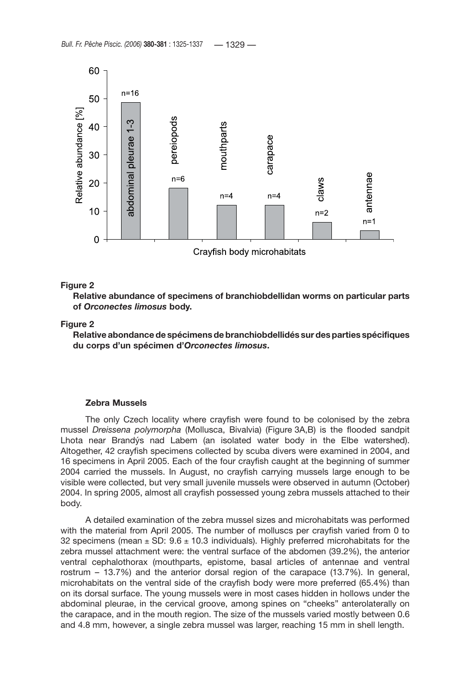

#### **Figure 2**

**Relative abundance of specimens of branchiobdellidan worms on particular parts of** *Orconectes limosus* **body.** 

# **Figure 2**

**Relative abondance de spécimens de branchiobdellidés sur des parties spécifiques du corps d'un spécimen d'***Orconectes limosus***.**

# **Zebra Mussels**

The only Czech locality where crayfish were found to be colonised by the zebra mussel *Dreissena polymorpha* (Mollusca, Bivalvia) (Figure 3A,B) is the flooded sandpit Lhota near Brandýs nad Labem (an isolated water body in the Elbe watershed). Altogether, 42 crayfish specimens collected by scuba divers were examined in 2004, and 16 specimens in April 2005. Each of the four crayfish caught at the beginning of summer 2004 carried the mussels. In August, no crayfish carrying mussels large enough to be visible were collected, but very small juvenile mussels were observed in autumn (October) 2004. In spring 2005, almost all crayfish possessed young zebra mussels attached to their body.

A detailed examination of the zebra mussel sizes and microhabitats was performed with the material from April 2005. The number of molluscs per crayfish varied from 0 to 32 specimens (mean  $\pm$  SD: 9.6  $\pm$  10.3 individuals). Highly preferred microhabitats for the zebra mussel attachment were: the ventral surface of the abdomen (39.2%), the anterior ventral cephalothorax (mouthparts, epistome, basal articles of antennae and ventral rostrum – 13.7%) and the anterior dorsal region of the carapace (13.7%). In general, microhabitats on the ventral side of the crayfish body were more preferred (65.4%) than on its dorsal surface. The young mussels were in most cases hidden in hollows under the abdominal pleurae, in the cervical groove, among spines on "cheeks" anterolaterally on the carapace, and in the mouth region. The size of the mussels varied mostly between 0.6 and 4.8 mm, however, a single zebra mussel was larger, reaching 15 mm in shell length.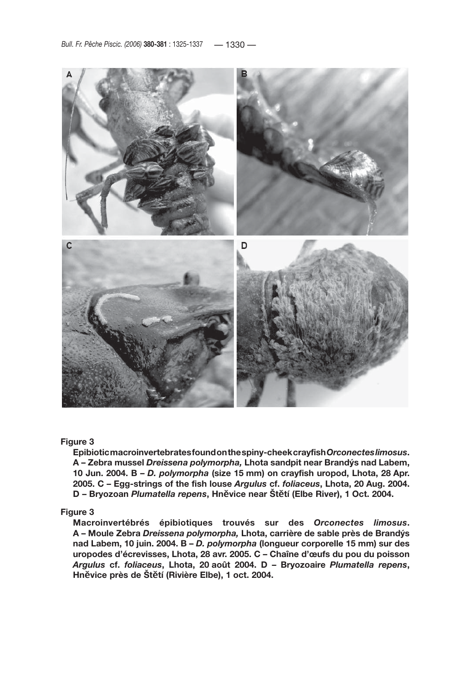

# **Figure 3**

**Epibiotic macroinvertebrates found on the spiny-cheek crayfish** *Orconectes limosus***. A – Zebra mussel** *Dreissena polymorpha,* **Lhota sandpit near Brandýs nad Labem, 10 Jun. 2004. B –** *D. polymorpha* **(size 15 mm) on crayfish uropod, Lhota, 28 Apr. 2005. C – Egg-strings of the fish louse** *Argulus* **cf.** *foliaceus***, Lhota, 20 Aug. 2004. D – Bryozoan** *Plumatella repens***, Hn**ě**vice near Št**ě**tí (Elbe River), 1 Oct. 2004.**

# **Figure 3**

**Macroinvertébrés épibiotiques trouvés sur des** *Orconectes limosus***. A – Moule Zebra** *Dreissena polymorpha,* **Lhota, carrière de sable près de Brandýs nad Labem, 10 juin. 2004. B –** *D. polymorpha* **(longueur corporelle 15 mm) sur des uropodes d'écrevisses, Lhota, 28 avr. 2005. C – Chaîne d'œufs du pou du poisson**  *Argulus* **cf.** *foliaceus***, Lhota, 20 août 2004. D – Bryozoaire** *Plumatella repens***, Hn**ě**vice près de Št**ě**tí (Rivière Elbe), 1 oct. 2004.**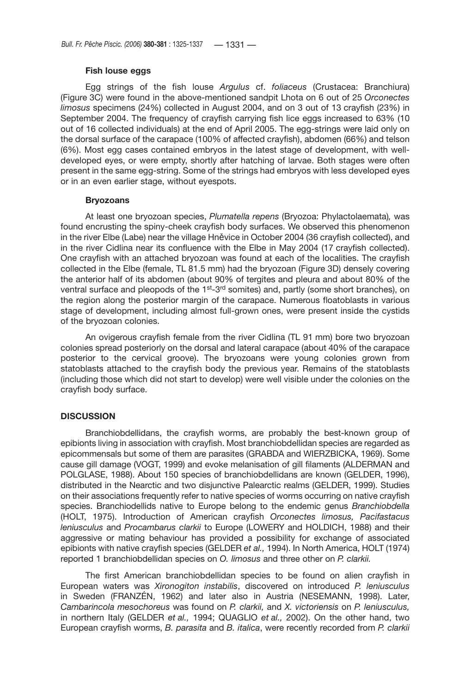# **Fish louse eggs**

Egg strings of the fish louse *Argulus* cf. *foliaceus* (Crustacea: Branchiura) (Figure 3C) were found in the above-mentioned sandpit Lhota on 6 out of 25 *Orconectes limosus* specimens (24%) collected in August 2004, and on 3 out of 13 crayfish (23%) in September 2004. The frequency of crayfish carrying fish lice eggs increased to 63% (10 out of 16 collected individuals) at the end of April 2005. The egg-strings were laid only on the dorsal surface of the carapace (100% of affected crayfish), abdomen (66%) and telson (6%). Most egg cases contained embryos in the latest stage of development, with welldeveloped eyes, or were empty, shortly after hatching of larvae. Both stages were often present in the same egg-string. Some of the strings had embryos with less developed eyes or in an even earlier stage, without eyespots.

# **Bryozoans**

At least one bryozoan species, *Plumatella repens* (Bryozoa: Phylactolaemata)*,* was found encrusting the spiny-cheek crayfish body surfaces. We observed this phenomenon in the river Elbe (Labe) near the village Hněvice in October 2004 (36 crayfish collected), and in the river Cidlina near its confluence with the Elbe in May 2004 (17 crayfish collected). One crayfish with an attached bryozoan was found at each of the localities. The crayfish collected in the Elbe (female, TL 81.5 mm) had the bryozoan (Figure 3D) densely covering the anterior half of its abdomen (about 90% of tergites and pleura and about 80% of the ventral surface and pleopods of the 1<sup>st</sup>-3<sup>rd</sup> somites) and, partly (some short branches), on the region along the posterior margin of the carapace. Numerous floatoblasts in various stage of development, including almost full-grown ones, were present inside the cystids of the bryozoan colonies.

An ovigerous crayfish female from the river Cidlina (TL 91 mm) bore two bryozoan colonies spread posteriorly on the dorsal and lateral carapace (about 40% of the carapace posterior to the cervical groove). The bryozoans were young colonies grown from statoblasts attached to the crayfish body the previous year. Remains of the statoblasts (including those which did not start to develop) were well visible under the colonies on the crayfish body surface.

# **DISCUSSION**

Branchiobdellidans, the crayfish worms, are probably the best-known group of epibionts living in association with crayfish. Most branchiobdellidan species are regarded as epicommensals but some of them are parasites (GRABDA and WIERZBICKA, 1969). Some cause gill damage (VOGT, 1999) and evoke melanisation of gill filaments (ALDERMAN and POLGLASE, 1988). About 150 species of branchiobdellidans are known (GELDER, 1996), distributed in the Nearctic and two disjunctive Palearctic realms (GELDER, 1999). Studies on their associations frequently refer to native species of worms occurring on native crayfish species. Branchiodellids native to Europe belong to the endemic genus *Branchiobdella* (HOLT, 1975). Introduction of American crayfish *Orconectes limosus, Pacifastacus leniusculus* and *Procambarus clarkii* to Europe (LOWERY and HOLDICH, 1988) and their aggressive or mating behaviour has provided a possibility for exchange of associated epibionts with native crayfish species (GELDER *et al.,* 1994). In North America, HOLT (1974) reported 1 branchiobdellidan species on *O. limosus* and three other on *P. clarkii.*

The first American branchiobdellidan species to be found on alien crayfish in European waters was *Xironogiton instabilis*, discovered on introduced *P. leniusculus* in Sweden (FRANZÉN, 1962) and later also in Austria (NESEMANN, 1998). Later, *Cambarincola mesochoreus* was found on *P. clarkii,* and *X. victoriensis* on *P. leniusculus,* in northern Italy (GELDER *et al.,* 1994; QUAGLIO *et al.,* 2002). On the other hand, two European crayfish worms, *B. parasita* and *B. italica*, were recently recorded from *P. clarkii*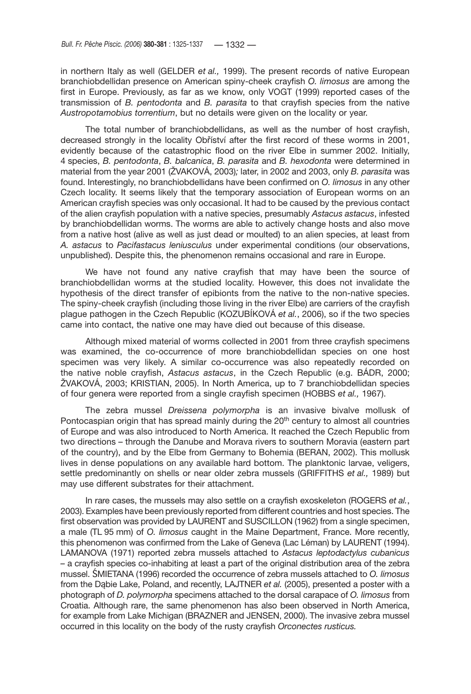in northern Italy as well (GELDER *et al.,* 1999). The present records of native European branchiobdellidan presence on American spiny-cheek crayfish *O. limosus* are among the first in Europe. Previously, as far as we know, only VOGT (1999) reported cases of the transmission of *B. pentodonta* and *B. parasita* to that crayfish species from the native *Austropotamobius torrentium*, but no details were given on the locality or year.

The total number of branchiobdellidans, as well as the number of host crayfish, decreased strongly in the locality Obříství after the first record of these worms in 2001, evidently because of the catastrophic flood on the river Elbe in summer 2002. Initially, 4 species, *B. pentodonta*, *B. balcanica*, *B. parasita* and *B. hexodonta* were determined in material from the year 2001 (ŽVAKOVÁ, 2003)*;* later, in 2002 and 2003, only *B. parasita* was found. Interestingly, no branchiobdellidans have been confirmed on *O. limosus* in any other Czech locality. It seems likely that the temporary association of European worms on an American crayfish species was only occasional. It had to be caused by the previous contact of the alien crayfish population with a native species, presumably *Astacus astacus*, infested by branchiobdellidan worms. The worms are able to actively change hosts and also move from a native host (alive as well as just dead or moulted) to an alien species, at least from *A. astacus* to *Pacifastacus leniusculus* under experimental conditions (our observations, unpublished). Despite this, the phenomenon remains occasional and rare in Europe.

We have not found any native crayfish that may have been the source of branchiobdellidan worms at the studied locality. However, this does not invalidate the hypothesis of the direct transfer of epibionts from the native to the non-native species. The spiny-cheek crayfish (including those living in the river Elbe) are carriers of the crayfish plague pathogen in the Czech Republic (KOZUBÍKOVÁ *et al.*, 2006), so if the two species came into contact, the native one may have died out because of this disease.

Although mixed material of worms collected in 2001 from three crayfish specimens was examined, the co-occurrence of more branchiobdellidan species on one host specimen was very likely. A similar co-occurrence was also repeatedly recorded on the native noble crayfish, *Astacus astacus*, in the Czech Republic (e.g. BÁDR, 2000; ŽVAKOVÁ, 2003; KRISTIAN, 2005). In North America, up to 7 branchiobdellidan species of four genera were reported from a single crayfish specimen (HOBBS *et al.,* 1967).

The zebra mussel *Dreissena polymorpha* is an invasive bivalve mollusk of Pontocaspian origin that has spread mainly during the  $20<sup>th</sup>$  century to almost all countries of Europe and was also introduced to North America. It reached the Czech Republic from two directions – through the Danube and Morava rivers to southern Moravia (eastern part of the country), and by the Elbe from Germany to Bohemia (BERAN, 2002). This mollusk lives in dense populations on any available hard bottom. The planktonic larvae, veligers, settle predominantly on shells or near older zebra mussels (GRIFFITHS *et al.,* 1989) but may use different substrates for their attachment.

In rare cases, the mussels may also settle on a crayfish exoskeleton (ROGERS *et al.*, 2003). Examples have been previously reported from different countries and host species. The first observation was provided by LAURENT and SUSCILLON (1962) from a single specimen, a male (TL 95 mm) of *O. limosus* caught in the Maine Department, France. More recently, this phenomenon was confirmed from the Lake of Geneva (Lac Léman) by LAURENT (1994). LAMANOVA (1971) reported zebra mussels attached to *Astacus leptodactylus cubanicus –* a crayfish species co-inhabiting at least a part of the original distribution area of the zebra mussel. ŚMIETANA (1996) recorded the occurrence of zebra mussels attached to *O. limosus* from the Dąbie Lake, Poland, and recently, LAJTNER *et al.* (2005), presented a poster with a photograph of *D. polymorpha* specimens attached to the dorsal carapace of *O. limosus* from Croatia. Although rare, the same phenomenon has also been observed in North America, for example from Lake Michigan (BRAZNER and JENSEN, 2000). The invasive zebra mussel occurred in this locality on the body of the rusty crayfish *Orconectes rusticus.*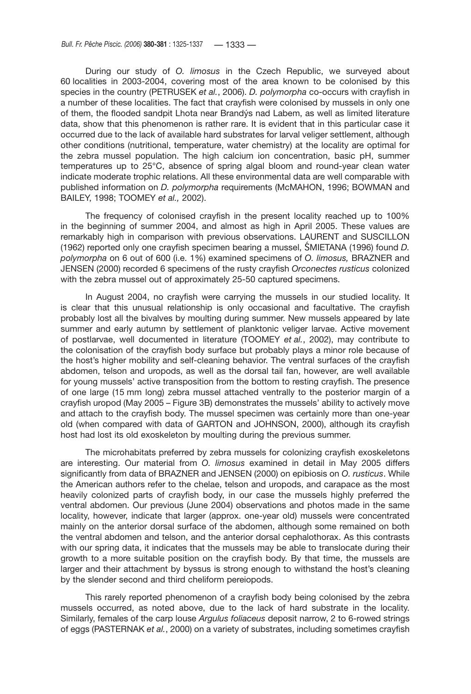During our study of *O. limosus* in the Czech Republic, we surveyed about 60 localities in 2003-2004, covering most of the area known to be colonised by this species in the country (PETRUSEK *et al.*, 2006). *D. polymorpha* co-occurs with crayfish in a number of these localities. The fact that crayfish were colonised by mussels in only one of them, the flooded sandpit Lhota near Brandýs nad Labem, as well as limited literature data, show that this phenomenon is rather rare. It is evident that in this particular case it occurred due to the lack of available hard substrates for larval veliger settlement, although other conditions (nutritional, temperature, water chemistry) at the locality are optimal for the zebra mussel population. The high calcium ion concentration, basic pH, summer temperatures up to 25°C, absence of spring algal bloom and round-year clean water indicate moderate trophic relations. All these environmental data are well comparable with published information on *D. polymorpha* requirements (McMAHON, 1996; BOWMAN and BAILEY, 1998; TOOMEY *et al.,* 2002).

The frequency of colonised crayfish in the present locality reached up to 100% in the beginning of summer 2004, and almost as high in April 2005. These values are remarkably high in comparison with previous observations. LAURENT and SUSCILLON (1962) reported only one crayfish specimen bearing a mussel, ŚMIETANA (1996) found *D. polymorpha* on 6 out of 600 (i.e. 1%) examined specimens of *O. limosus,* BRAZNER and JENSEN (2000) recorded 6 specimens of the rusty crayfish *Orconectes rusticus* colonized with the zebra mussel out of approximately 25-50 captured specimens.

In August 2004, no crayfish were carrying the mussels in our studied locality. It is clear that this unusual relationship is only occasional and facultative. The crayfish probably lost all the bivalves by moulting during summer. New mussels appeared by late summer and early autumn by settlement of planktonic veliger larvae. Active movement of postlarvae, well documented in literature (TOOMEY *et al.*, 2002), may contribute to the colonisation of the crayfish body surface but probably plays a minor role because of the host's higher mobility and self-cleaning behavior. The ventral surfaces of the crayfish abdomen, telson and uropods, as well as the dorsal tail fan, however, are well available for young mussels' active transposition from the bottom to resting crayfish. The presence of one large (15 mm long) zebra mussel attached ventrally to the posterior margin of a crayfish uropod (May 2005 – Figure 3B) demonstrates the mussels' ability to actively move and attach to the crayfish body. The mussel specimen was certainly more than one-year old (when compared with data of GARTON and JOHNSON, 2000), although its crayfish host had lost its old exoskeleton by moulting during the previous summer.

The microhabitats preferred by zebra mussels for colonizing crayfish exoskeletons are interesting. Our material from *O. limosus* examined in detail in May 2005 differs significantly from data of BRAZNER and JENSEN (2000) on epibiosis on *O. rusticus*. While the American authors refer to the chelae, telson and uropods, and carapace as the most heavily colonized parts of crayfish body, in our case the mussels highly preferred the ventral abdomen. Our previous (June 2004) observations and photos made in the same locality, however, indicate that larger (approx. one-year old) mussels were concentrated mainly on the anterior dorsal surface of the abdomen, although some remained on both the ventral abdomen and telson, and the anterior dorsal cephalothorax. As this contrasts with our spring data, it indicates that the mussels may be able to translocate during their growth to a more suitable position on the crayfish body. By that time, the mussels are larger and their attachment by byssus is strong enough to withstand the host's cleaning by the slender second and third cheliform pereiopods.

This rarely reported phenomenon of a crayfish body being colonised by the zebra mussels occurred, as noted above, due to the lack of hard substrate in the locality. Similarly, females of the carp louse *Argulus foliaceus* deposit narrow, 2 to 6-rowed strings of eggs (PASTERNAK *et al.*, 2000) on a variety of substrates, including sometimes crayfish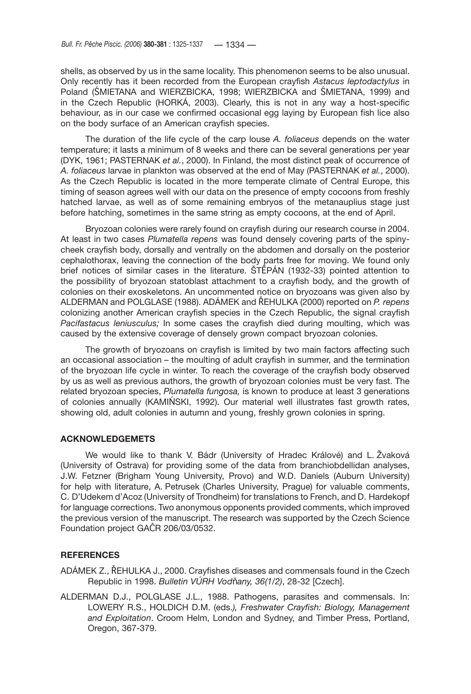shells, as observed by us in the same locality. This phenomenon seems to be also unusual. Only recently has it been recorded from the European crayfish *Astacus leptodactylus* in Poland (ŚMIETANA and WIERZBICKA, 1998; WIERZBICKA and ŚMIETANA, 1999) and in the Czech Republic (HORKÁ, 2003). Clearly, this is not in any way a host-specific behaviour, as in our case we confirmed occasional egg laying by European fish lice also on the body surface of an American crayfish species.

The duration of the life cycle of the carp louse *A. foliaceus* depends on the water temperature; it lasts a minimum of 8 weeks and there can be several generations per year (DYK, 1961; PASTERNAK *et al.*, 2000). In Finland, the most distinct peak of occurrence of *A. foliaceus* larvae in plankton was observed at the end of May (PASTERNAK *et al.*, 2000). As the Czech Republic is located in the more temperate climate of Central Europe, this timing of season agrees well with our data on the presence of empty cocoons from freshly hatched larvae, as well as of some remaining embryos of the metanauplius stage just before hatching, sometimes in the same string as empty cocoons, at the end of April.

Bryozoan colonies were rarely found on crayfish during our research course in 2004. At least in two cases *Plumatella repens* was found densely covering parts of the spinycheek crayfish body, dorsally and ventrally on the abdomen and dorsally on the posterior cephalothorax, leaving the connection of the body parts free for moving. We found only brief notices of similar cases in the literature. ŠTĚPÁN (1932-33) pointed attention to the possibility of bryozoan statoblast attachment to a crayfish body, and the growth of colonies on their exoskeletons. An uncommented notice on bryozoans was given also by ALDERMAN and POLGLASE (1988). ADÁMEK and ŘEHULKA (2000) reported on *P. repens* colonizing another American crayfish species in the Czech Republic, the signal crayfish *Pacifastacus leniusculus;* In some cases the crayfish died during moulting, which was caused by the extensive coverage of densely grown compact bryozoan colonies.

The growth of bryozoans on crayfish is limited by two main factors affecting such an occasional association – the moulting of adult crayfish in summer, and the termination of the bryozoan life cycle in winter. To reach the coverage of the crayfish body observed by us as well as previous authors, the growth of bryozoan colonies must be very fast. The related bryozoan species, *Plumatella fungosa,* is known to produce at least 3 generations of colonies annually (KAMIŃSKI, 1992). Our material well illustrates fast growth rates, showing old, adult colonies in autumn and young, freshly grown colonies in spring.

# **ACKNOWLEDGEMETS**

We would like to thank V. Bádr (University of Hradec Králové) and L. Žvaková (University of Ostrava) for providing some of the data from branchiobdellidan analyses, J.W. Fetzner (Brigham Young University, Provo) and W.D. Daniels (Auburn University) for help with literature, A. Petrusek (Charles University, Prague) for valuable comments, C. D'Udekem d'Acoz (University of Trondheim) for translations to French, and D. Hardekopf for language corrections. Two anonymous opponents provided comments, which improved the previous version of the manuscript. The research was supported by the Czech Science Foundation project GAČR 206/03/0532.

# **REFERENCES**

- ADÁMEK Z., ŘEHULKA J., 2000. Crayfishes diseases and commensals found in the Czech Republic in 1998. *Bulletin VÚRH Vod*ň*any, 36(1/2)*, 28-32 [Czech].
- ALDERMAN D.J., POLGLASE J.L., 1988. Pathogens, parasites and commensals. In: LOWERY R.S., HOLDICH D.M. (eds.*), Freshwater Crayfish: Biology, Management and Exploitation*. Croom Helm, London and Sydney, and Timber Press, Portland, Oregon, 367-379.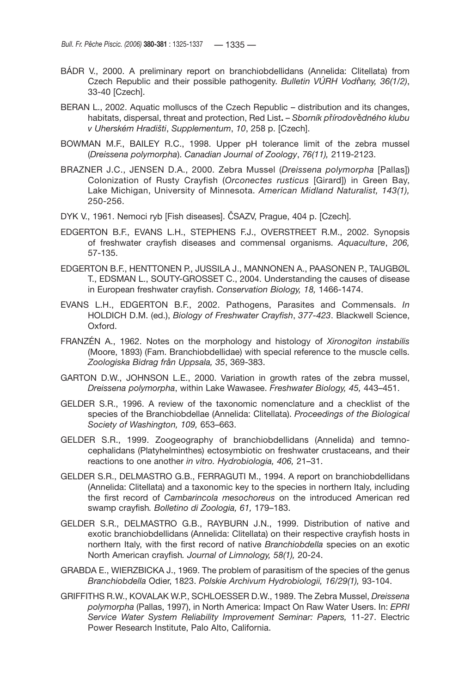- BÁDR V., 2000. A preliminary report on branchiobdellidans (Annelida: Clitellata) from Czech Republic and their possible pathogenity. *Bulletin VÚRH Vod*ň*any, 36(1/2)*, 33-40 [Czech].
- BERAN L., 2002. Aquatic molluscs of the Czech Republic distribution and its changes, habitats, dispersal, threat and protection, Red List**.** – *Sborník p*ř*írodov*ě*dného klubu v Uherském Hradišti*, *Supplementum*, *10*, 258 p. [Czech].
- BOWMAN M.F., BAILEY R.C., 1998. Upper pH tolerance limit of the zebra mussel (*Dreissena polymorpha*). *Canadian Journal of Zoology*, *76(11),* 2119-2123.
- BRAZNER J.C., JENSEN D.A., 2000. Zebra Mussel (*Dreissena polymorpha* [Pallas]) Colonization of Rusty Crayfish (*Orconectes rusticus* [Girard]) in Green Bay, Lake Michigan, University of Minnesota. *American Midland Naturalist, 143(1),* 250-256.
- DYK V., 1961. Nemoci ryb [Fish diseases]. ČSAZV, Prague, 404 p. [Czech].
- EDGERTON B.F., EVANS L.H., STEPHENS F.J., OVERSTREET R.M., 2002. Synopsis of freshwater crayfish diseases and commensal organisms. *Aquaculture*, *206,* 57-135.
- EDGERTON B.F., HENTTONEN P., JUSSILA J., MANNONEN A., PAASONEN P., TAUGBØL T., EDSMAN L., SOUTY-GROSSET C., 2004. Understanding the causes of disease in European freshwater crayfish. *Conservation Biology, 18,* 1466-1474.
- EVANS L.H., EDGERTON B.F., 2002. Pathogens, Parasites and Commensals. *In* HOLDICH D.M. (ed.), *Biology of Freshwater Crayfish*, *377-423*. Blackwell Science, Oxford.
- FRANZÉN A., 1962. Notes on the morphology and histology of *Xironogiton instabilis*  (Moore, 1893) (Fam. Branchiobdellidae) with special reference to the muscle cells. *Zoologiska Bidrag från Uppsala, 35*, 369-383.
- GARTON D.W., JOHNSON L.E., 2000. Variation in growth rates of the zebra mussel, *Dreissena polymorpha*, within Lake Wawasee. *Freshwater Biology, 45,* 443–451.
- GELDER S.R., 1996. A review of the taxonomic nomenclature and a checklist of the species of the Branchiobdellae (Annelida: Clitellata). *Proceedings of the Biological Society of Washington, 109,* 653–663.
- GELDER S.R., 1999. Zoogeography of branchiobdellidans (Annelida) and temnocephalidans (Platyhelminthes) ectosymbiotic on freshwater crustaceans, and their reactions to one another *in vitro. Hydrobiologia, 406,* 21–31.
- GELDER S.R., DELMASTRO G.B., FERRAGUTI M., 1994. A report on branchiobdellidans (Annelida: Clitellata) and a taxonomic key to the species in northern Italy, including the first record of *Cambarincola mesochoreus* on the introduced American red swamp crayfish*. Bolletino di Zoologia, 61,* 179–183.
- GELDER S.R., DELMASTRO G.B., RAYBURN J.N., 1999. Distribution of native and exotic branchiobdellidans (Annelida: Clitellata) on their respective crayfish hosts in northern Italy, with the first record of native *Branchiobdella* species on an exotic North American crayfish*. Journal of Limnology, 58(1),* 20-24.
- GRABDA E., WIERZBICKA J., 1969. The problem of parasitism of the species of the genus *Branchiobdella* Odier, 1823. *Polskie Archivum Hydrobiologii, 16/29(1),* 93-104.
- GRIFFITHS R.W., KOVALAK W.P., SCHLOESSER D.W., 1989. The Zebra Mussel, *Dreissena polymorpha* (Pallas, 1997), in North America: Impact On Raw Water Users. In: *EPRI Service Water System Reliability Improvement Seminar: Papers,* 11-27. Electric Power Research Institute, Palo Alto, California.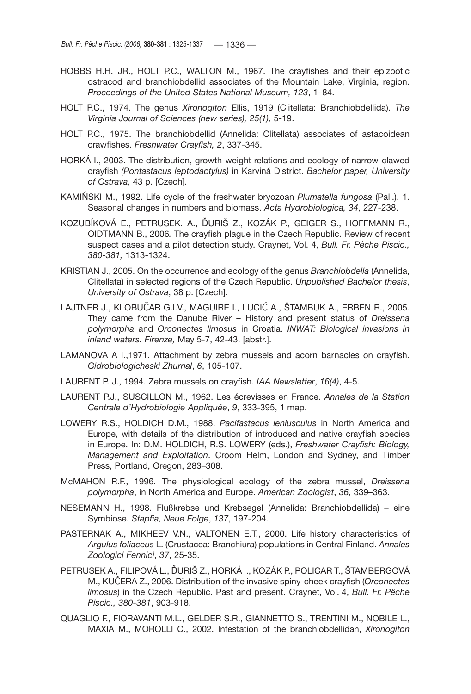- HOBBS H.H. JR., HOLT P.C., WALTON M., 1967. The crayfishes and their epizootic ostracod and branchiobdellid associates of the Mountain Lake, Virginia, region. *Proceedings of the United States National Museum, 123*, 1–84.
- HOLT P.C., 1974. The genus *Xironogiton* Ellis, 1919 (Clitellata: Branchiobdellida). *The Virginia Journal of Sciences (new series), 25(1),* 5-19.
- HOLT P.C., 1975. The branchiobdellid (Annelida: Clitellata) associates of astacoidean crawfishes. *Freshwater Crayfish, 2*, 337-345.
- HORKÁ I., 2003. The distribution, growth-weight relations and ecology of narrow-clawed crayfish *(Pontastacus leptodactylus)* in Karviná District. *Bachelor paper, University of Ostrava,* 43 p. [Czech].
- KAMIŃSKI M., 1992. Life cycle of the freshwater bryozoan *Plumatella fungosa* (Pall.). 1. Seasonal changes in numbers and biomass. *Acta Hydrobiologica, 34*, 227-238.
- KOZUBÍKOVÁ E., PETRUSEK. A., ĎURIŠ Z., KOZÁK P., GEIGER S., HOFFMANN R., OIDTMANN B., 2006*.* The crayfish plague in the Czech Republic. Review of recent suspect cases and a pilot detection study. Craynet, Vol. 4, *Bull. Fr. Pêche Piscic., 380-381,* 1313-1324.
- KRISTIAN J., 2005. On the occurrence and ecology of the genus *Branchiobdella* (Annelida, Clitellata) in selected regions of the Czech Republic. *Unpublished Bachelor thesis*, *University of Ostrava*, 38 p. [Czech].
- LAJTNER J., KLOBUČAR G.I.V., MAGUIRE I., LUCIĆ A., ŠTAMBUK A., ERBEN R., 2005. They came from the Danube River – History and present status of *Dreissena polymorpha* and *Orconectes limosus* in Croatia. *INWAT: Biological invasions in inland waters. Firenze,* May 5-7, 42-43. [abstr.].
- LAMANOVA A I.,1971. Attachment by zebra mussels and acorn barnacles on crayfish. *Gidrobiologicheski Zhurnal*, *6*, 105-107.
- LAURENT P. J., 1994. Zebra mussels on crayfish. *IAA Newsletter*, *16(4)*, 4-5.
- LAURENT P.J., SUSCILLON M., 1962. Les écrevisses en France. *Annales de la Station Centrale d'Hydrobiologie Appliquée*, *9*, 333-395, 1 map.
- LOWERY R.S., HOLDICH D.M., 1988. *Pacifastacus leniusculus* in North America and Europe, with details of the distribution of introduced and native crayfish species in Europe. In: D.M. HOLDICH, R.S. LOWERY (eds.), *Freshwater Crayfish: Biology, Management and Exploitation*. Croom Helm, London and Sydney, and Timber Press, Portland, Oregon, 283–308.
- McMAHON R.F., 1996. The physiological ecology of the zebra mussel, *Dreissena polymorpha*, in North America and Europe. *American Zoologist*, *36,* 339–363.
- NESEMANN H., 1998. Flußkrebse und Krebsegel (Annelida: Branchiobdellida) eine Symbiose. *Stapfia, Neue Folge*, *137*, 197-204.
- PASTERNAK A., MIKHEEV V.N., VALTONEN E.T., 2000. Life history characteristics of *Argulus foliaceus* L. (Crustacea: Branchiura) populations in Central Finland. *Annales Zoologici Fennici*, *37*, 25-35.
- PETRUSEK A., FILIPOVÁ L., ĎURIŠ Z., HORKÁ I., KOZÁK P., POLICAR T., ŠTAMBERGOVÁ M., KUČERA Z., 2006. Distribution of the invasive spiny-cheek crayfish (*Orconectes limosus*) in the Czech Republic. Past and present. Craynet, Vol. 4, *Bull. Fr. Pêche Piscic., 380-381*, 903-918.
- QUAGLIO F., FIORAVANTI M.L., GELDER S.R., GIANNETTO S., TRENTINI M., NOBILE L., MAXIA M., MOROLLI C., 2002. Infestation of the branchiobdellidan, *Xironogiton*